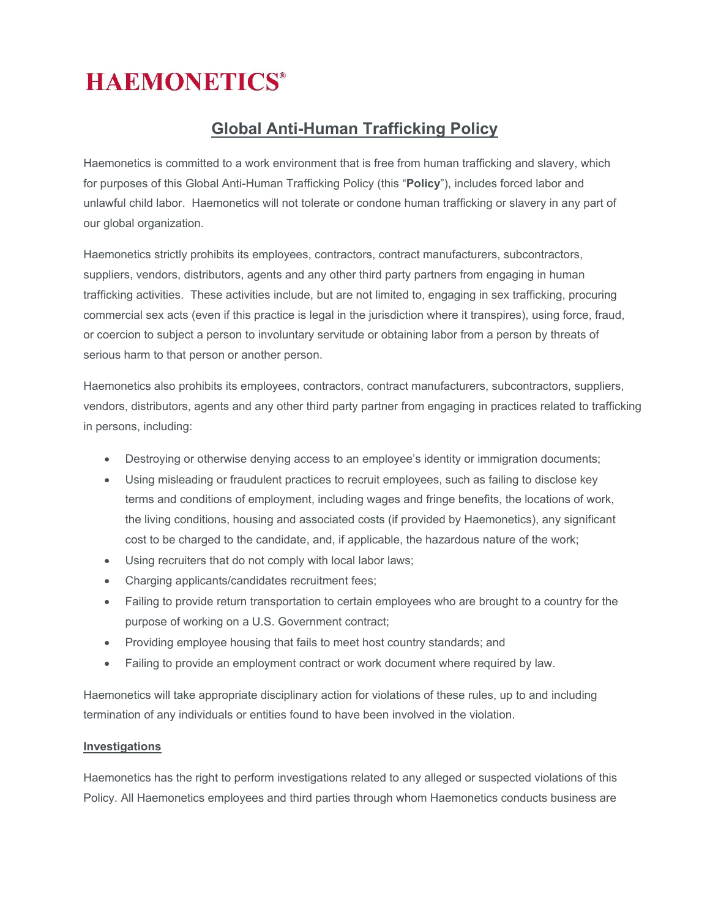# **HAEMONETICS®**

# **Global Anti-Human Trafficking Policy**

Haemonetics is committed to a work environment that is free from human trafficking and slavery, which for purposes of this Global Anti-Human Trafficking Policy (this "**Policy**"), includes forced labor and unlawful child labor. Haemonetics will not tolerate or condone human trafficking or slavery in any part of our global organization.

Haemonetics strictly prohibits its employees, contractors, contract manufacturers, subcontractors, suppliers, vendors, distributors, agents and any other third party partners from engaging in human trafficking activities. These activities include, but are not limited to, engaging in sex trafficking, procuring commercial sex acts (even if this practice is legal in the jurisdiction where it transpires), using force, fraud, or coercion to subject a person to involuntary servitude or obtaining labor from a person by threats of serious harm to that person or another person.

Haemonetics also prohibits its employees, contractors, contract manufacturers, subcontractors, suppliers, vendors, distributors, agents and any other third party partner from engaging in practices related to trafficking in persons, including:

- Destroying or otherwise denying access to an employee's identity or immigration documents;
- Using misleading or fraudulent practices to recruit employees, such as failing to disclose key terms and conditions of employment, including wages and fringe benefits, the locations of work, the living conditions, housing and associated costs (if provided by Haemonetics), any significant cost to be charged to the candidate, and, if applicable, the hazardous nature of the work;
- Using recruiters that do not comply with local labor laws;
- Charging applicants/candidates recruitment fees;
- Failing to provide return transportation to certain employees who are brought to a country for the purpose of working on a U.S. Government contract;
- Providing employee housing that fails to meet host country standards; and
- Failing to provide an employment contract or work document where required by law.

Haemonetics will take appropriate disciplinary action for violations of these rules, up to and including termination of any individuals or entities found to have been involved in the violation.

## **Investigations**

Haemonetics has the right to perform investigations related to any alleged or suspected violations of this Policy. All Haemonetics employees and third parties through whom Haemonetics conducts business are